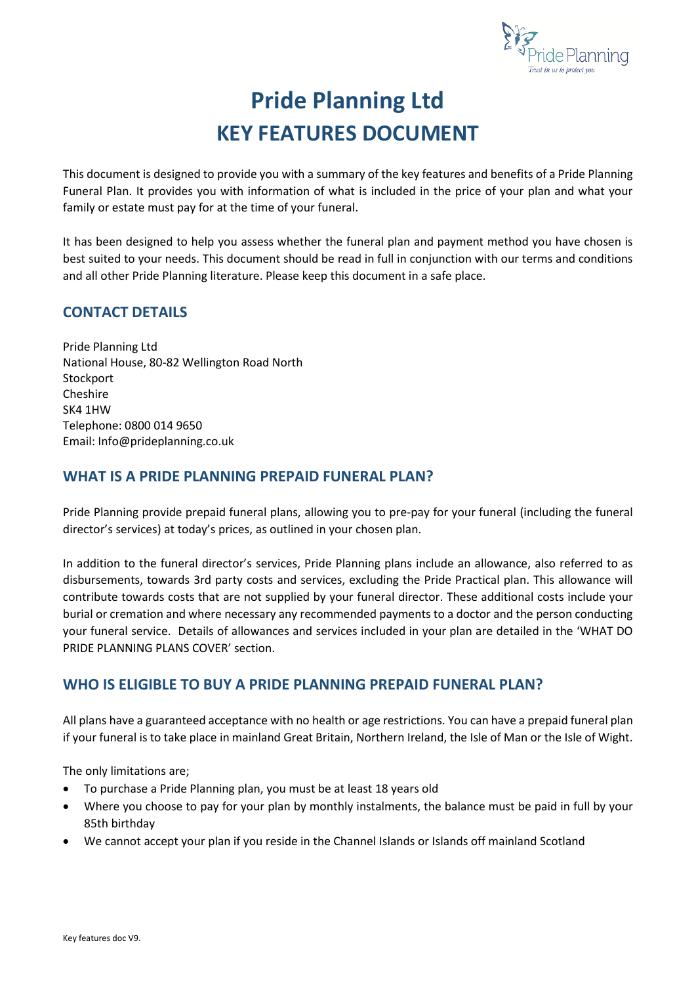

# **Pride Planning Ltd KEY FEATURES DOCUMENT**

This document is designed to provide you with a summary of the key features and benefits of a Pride Planning Funeral Plan. It provides you with information of what is included in the price of your plan and what your family or estate must pay for at the time of your funeral.

It has been designed to help you assess whether the funeral plan and payment method you have chosen is best suited to your needs. This document should be read in full in conjunction with our terms and conditions and all other Pride Planning literature. Please keep this document in a safe place.

# **CONTACT DETAILS**

Pride Planning Ltd National House, 80-82 Wellington Road North **Stockport** Cheshire SK4 1HW Telephone: 0800 014 9650 Email: Info@prideplanning.co.uk

# **WHAT IS A PRIDE PLANNING PREPAID FUNERAL PLAN?**

Pride Planning provide prepaid funeral plans, allowing you to pre-pay for your funeral (including the funeral director's services) at today's prices, as outlined in your chosen plan.

In addition to the funeral director's services, Pride Planning plans include an allowance, also referred to as disbursements, towards 3rd party costs and services, excluding the Pride Practical plan. This allowance will contribute towards costs that are not supplied by your funeral director. These additional costs include your burial or cremation and where necessary any recommended payments to a doctor and the person conducting your funeral service. Details of allowances and services included in your plan are detailed in the 'WHAT DO PRIDE PLANNING PLANS COVER' section.

# **WHO IS ELIGIBLE TO BUY A PRIDE PLANNING PREPAID FUNERAL PLAN?**

All plans have a guaranteed acceptance with no health or age restrictions. You can have a prepaid funeral plan if your funeral is to take place in mainland Great Britain, Northern Ireland, the Isle of Man or the Isle of Wight.

The only limitations are;

- To purchase a Pride Planning plan, you must be at least 18 years old
- Where you choose to pay for your plan by monthly instalments, the balance must be paid in full by your 85th birthday
- We cannot accept your plan if you reside in the Channel Islands or Islands off mainland Scotland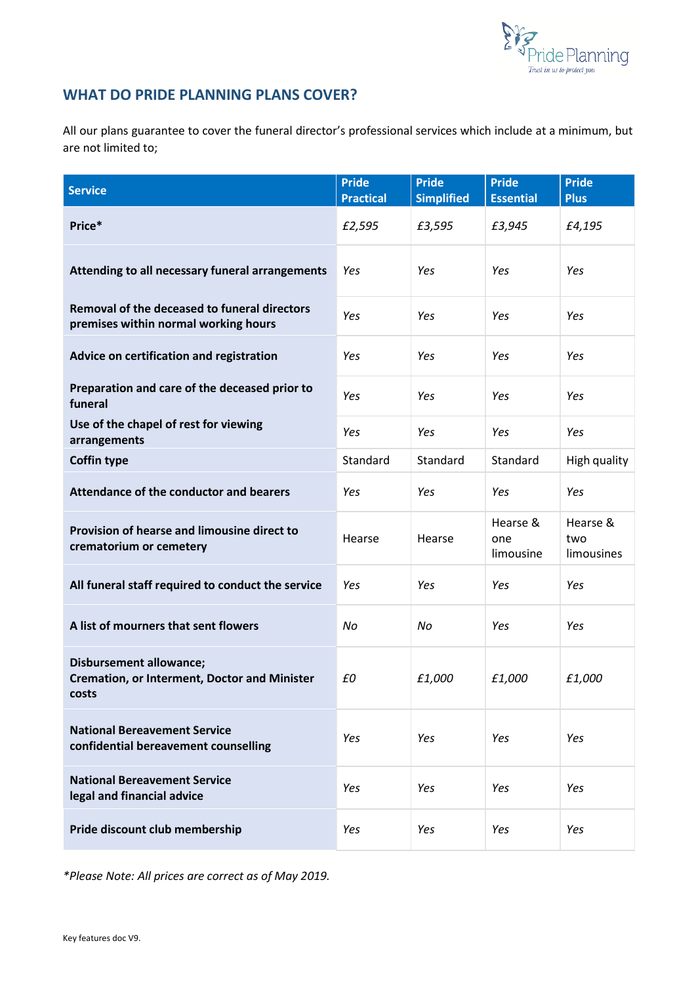

# **WHAT DO PRIDE PLANNING PLANS COVER?**

All our plans guarantee to cover the funeral director's professional services which include at a minimum, but are not limited to;

| <b>Service</b>                                                                                 | <b>Pride</b><br><b>Practical</b> | <b>Pride</b><br><b>Simplified</b> | <b>Pride</b><br><b>Essential</b> | <b>Pride</b><br><b>Plus</b>   |
|------------------------------------------------------------------------------------------------|----------------------------------|-----------------------------------|----------------------------------|-------------------------------|
| Price*                                                                                         | £2,595                           | £3,595                            | £3,945                           | £4,195                        |
| Attending to all necessary funeral arrangements                                                | Yes                              | Yes                               | Yes                              | Yes                           |
| Removal of the deceased to funeral directors<br>premises within normal working hours           | Yes                              | Yes                               | Yes                              | Yes                           |
| Advice on certification and registration                                                       | Yes                              | Yes                               | Yes                              | Yes                           |
| Preparation and care of the deceased prior to<br>funeral                                       | Yes                              | Yes                               | Yes                              | Yes                           |
| Use of the chapel of rest for viewing<br>arrangements                                          | Yes                              | Yes                               | Yes                              | Yes                           |
| <b>Coffin type</b>                                                                             | Standard                         | Standard                          | Standard                         | High quality                  |
| Attendance of the conductor and bearers                                                        | Yes                              | Yes                               | Yes                              | Yes                           |
| Provision of hearse and limousine direct to<br>crematorium or cemetery                         | Hearse                           | Hearse                            | Hearse &<br>one<br>limousine     | Hearse &<br>two<br>limousines |
| All funeral staff required to conduct the service                                              | Yes                              | Yes                               | Yes                              | Yes                           |
| A list of mourners that sent flowers                                                           | No                               | No                                | Yes                              | Yes                           |
| <b>Disbursement allowance;</b><br><b>Cremation, or Interment, Doctor and Minister</b><br>costs | £0                               | £1,000                            | £1,000                           | £1,000                        |
| <b>National Bereavement Service</b><br>confidential bereavement counselling                    | Yes                              | Yes                               | Yes                              | Yes                           |
| <b>National Bereavement Service</b><br>legal and financial advice                              | Yes                              | Yes                               | Yes                              | Yes                           |
| Pride discount club membership                                                                 | Yes                              | Yes                               | Yes                              | Yes                           |

*\*Please Note: All prices are correct as of May 2019.*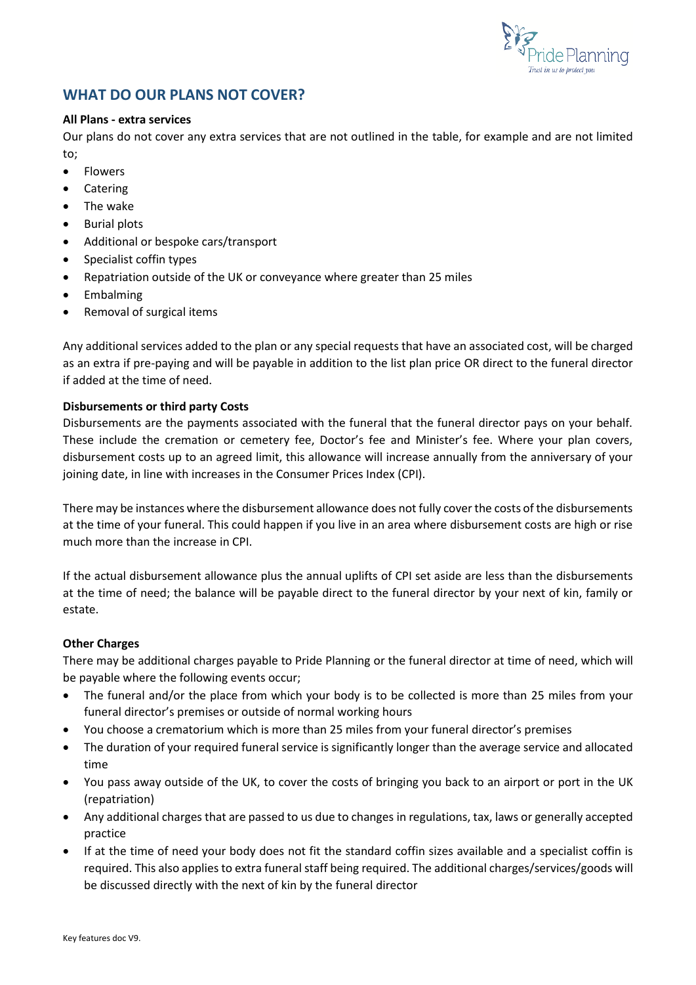

# **WHAT DO OUR PLANS NOT COVER?**

#### **All Plans - extra services**

Our plans do not cover any extra services that are not outlined in the table, for example and are not limited to;

- Flowers
- Catering
- The wake
- Burial plots
- Additional or bespoke cars/transport
- Specialist coffin types
- Repatriation outside of the UK or conveyance where greater than 25 miles
- **Embalming**
- Removal of surgical items

Any additional services added to the plan or any special requests that have an associated cost, will be charged as an extra if pre-paying and will be payable in addition to the list plan price OR direct to the funeral director if added at the time of need.

#### **Disbursements or third party Costs**

Disbursements are the payments associated with the funeral that the funeral director pays on your behalf. These include the cremation or cemetery fee, Doctor's fee and Minister's fee. Where your plan covers, disbursement costs up to an agreed limit, this allowance will increase annually from the anniversary of your joining date, in line with increases in the Consumer Prices Index (CPI).

There may be instances where the disbursement allowance does not fully cover the costs of the disbursements at the time of your funeral. This could happen if you live in an area where disbursement costs are high or rise much more than the increase in CPI.

If the actual disbursement allowance plus the annual uplifts of CPI set aside are less than the disbursements at the time of need; the balance will be payable direct to the funeral director by your next of kin, family or estate.

#### **Other Charges**

There may be additional charges payable to Pride Planning or the funeral director at time of need, which will be payable where the following events occur;

- The funeral and/or the place from which your body is to be collected is more than 25 miles from your funeral director's premises or outside of normal working hours
- You choose a crematorium which is more than 25 miles from your funeral director's premises
- The duration of your required funeral service is significantly longer than the average service and allocated time
- You pass away outside of the UK, to cover the costs of bringing you back to an airport or port in the UK (repatriation)
- Any additional charges that are passed to us due to changes in regulations, tax, laws or generally accepted practice
- If at the time of need your body does not fit the standard coffin sizes available and a specialist coffin is required. This also applies to extra funeral staff being required. The additional charges/services/goods will be discussed directly with the next of kin by the funeral director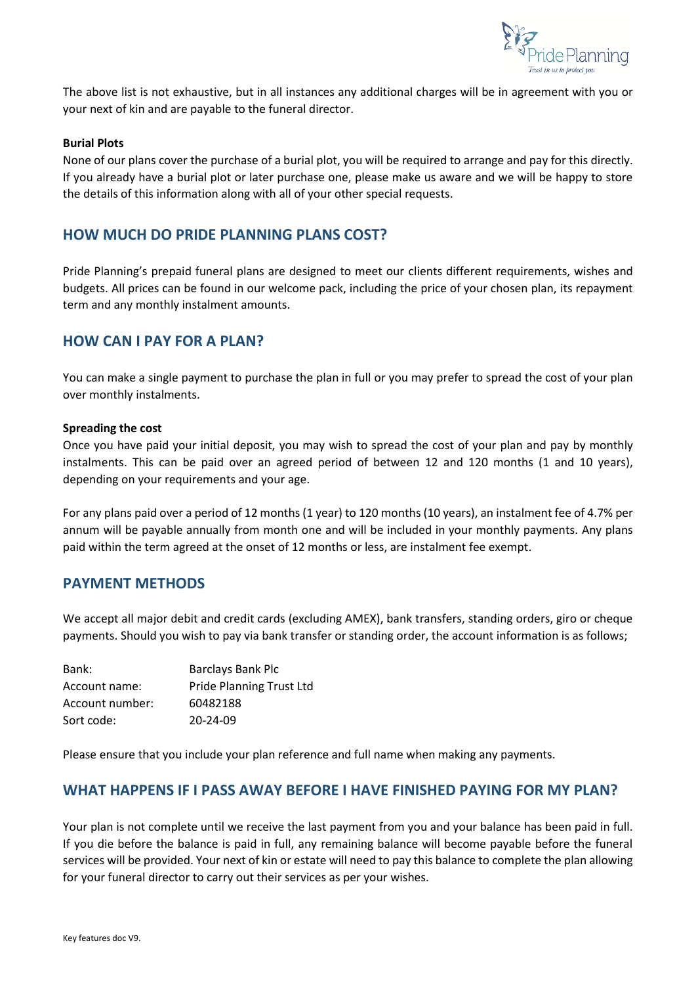

The above list is not exhaustive, but in all instances any additional charges will be in agreement with you or your next of kin and are payable to the funeral director.

#### **Burial Plots**

None of our plans cover the purchase of a burial plot, you will be required to arrange and pay for this directly. If you already have a burial plot or later purchase one, please make us aware and we will be happy to store the details of this information along with all of your other special requests.

## **HOW MUCH DO PRIDE PLANNING PLANS COST?**

Pride Planning's prepaid funeral plans are designed to meet our clients different requirements, wishes and budgets. All prices can be found in our welcome pack, including the price of your chosen plan, its repayment term and any monthly instalment amounts.

#### **HOW CAN I PAY FOR A PLAN?**

You can make a single payment to purchase the plan in full or you may prefer to spread the cost of your plan over monthly instalments.

#### **Spreading the cost**

Once you have paid your initial deposit, you may wish to spread the cost of your plan and pay by monthly instalments. This can be paid over an agreed period of between 12 and 120 months (1 and 10 years), depending on your requirements and your age.

For any plans paid over a period of 12 months (1 year) to 120 months (10 years), an instalment fee of 4.7% per annum will be payable annually from month one and will be included in your monthly payments. Any plans paid within the term agreed at the onset of 12 months or less, are instalment fee exempt.

## **PAYMENT METHODS**

We accept all major debit and credit cards (excluding AMEX), bank transfers, standing orders, giro or cheque payments. Should you wish to pay via bank transfer or standing order, the account information is as follows;

| Bank:           | Barclays Bank Plc               |
|-----------------|---------------------------------|
| Account name:   | <b>Pride Planning Trust Ltd</b> |
| Account number: | 60482188                        |
| Sort code:      | $20 - 24 - 09$                  |

Please ensure that you include your plan reference and full name when making any payments.

#### **WHAT HAPPENS IF I PASS AWAY BEFORE I HAVE FINISHED PAYING FOR MY PLAN?**

Your plan is not complete until we receive the last payment from you and your balance has been paid in full. If you die before the balance is paid in full, any remaining balance will become payable before the funeral services will be provided. Your next of kin or estate will need to pay this balance to complete the plan allowing for your funeral director to carry out their services as per your wishes.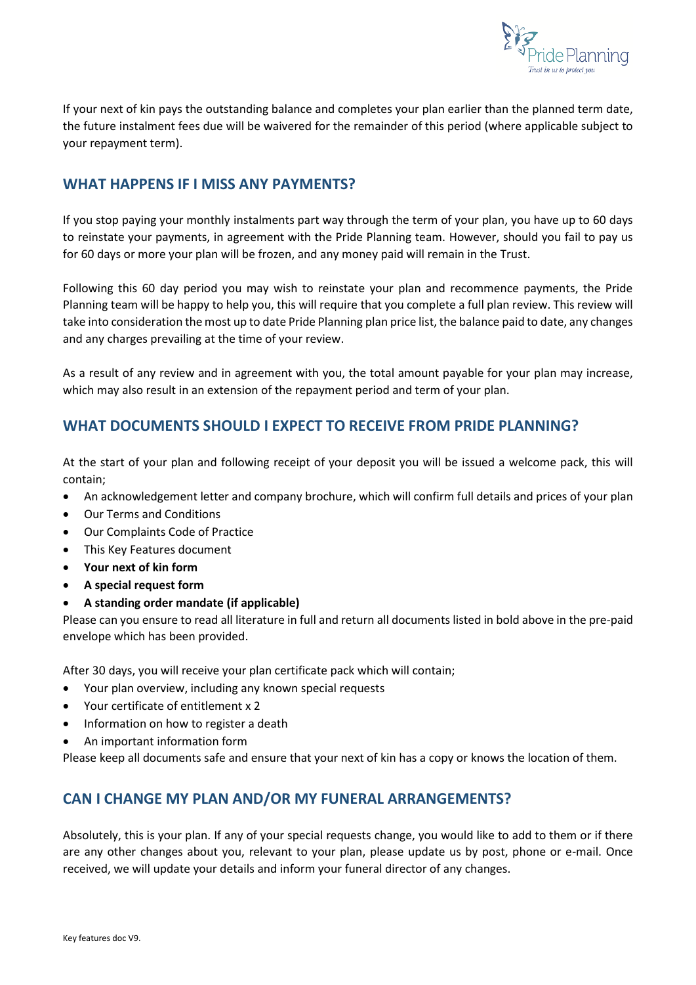

If your next of kin pays the outstanding balance and completes your plan earlier than the planned term date, the future instalment fees due will be waivered for the remainder of this period (where applicable subject to your repayment term).

# **WHAT HAPPENS IF I MISS ANY PAYMENTS?**

If you stop paying your monthly instalments part way through the term of your plan, you have up to 60 days to reinstate your payments, in agreement with the Pride Planning team. However, should you fail to pay us for 60 days or more your plan will be frozen, and any money paid will remain in the Trust.

Following this 60 day period you may wish to reinstate your plan and recommence payments, the Pride Planning team will be happy to help you, this will require that you complete a full plan review. This review will take into consideration the most up to date Pride Planning plan price list, the balance paid to date, any changes and any charges prevailing at the time of your review.

As a result of any review and in agreement with you, the total amount payable for your plan may increase, which may also result in an extension of the repayment period and term of your plan.

# **WHAT DOCUMENTS SHOULD I EXPECT TO RECEIVE FROM PRIDE PLANNING?**

At the start of your plan and following receipt of your deposit you will be issued a welcome pack, this will contain;

- An acknowledgement letter and company brochure, which will confirm full details and prices of your plan
- Our Terms and Conditions
- Our Complaints Code of Practice
- This Key Features document
- **Your next of kin form**
- **A special request form**
- **A standing order mandate (if applicable)**

Please can you ensure to read all literature in full and return all documents listed in bold above in the pre-paid envelope which has been provided.

After 30 days, you will receive your plan certificate pack which will contain;

- Your plan overview, including any known special requests
- Your certificate of entitlement x 2
- Information on how to register a death
- An important information form

Please keep all documents safe and ensure that your next of kin has a copy or knows the location of them.

# **CAN I CHANGE MY PLAN AND/OR MY FUNERAL ARRANGEMENTS?**

Absolutely, this is your plan. If any of your special requests change, you would like to add to them or if there are any other changes about you, relevant to your plan, please update us by post, phone or e-mail. Once received, we will update your details and inform your funeral director of any changes.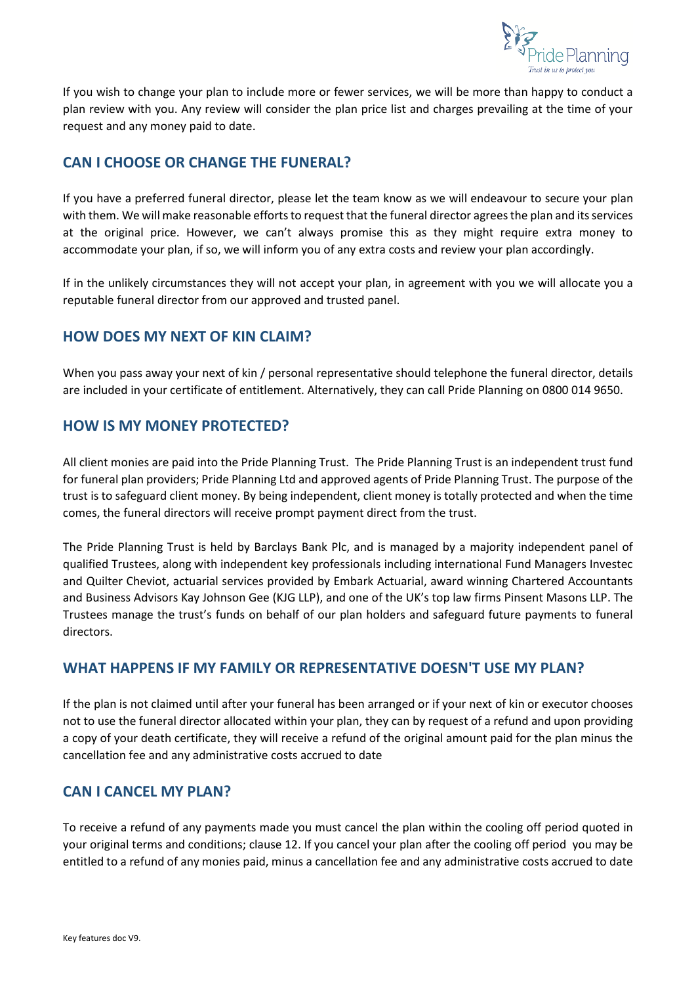

If you wish to change your plan to include more or fewer services, we will be more than happy to conduct a plan review with you. Any review will consider the plan price list and charges prevailing at the time of your request and any money paid to date.

# **CAN I CHOOSE OR CHANGE THE FUNERAL?**

If you have a preferred funeral director, please let the team know as we will endeavour to secure your plan with them. We will make reasonable efforts to request that the funeral director agrees the plan and its services at the original price. However, we can't always promise this as they might require extra money to accommodate your plan, if so, we will inform you of any extra costs and review your plan accordingly.

If in the unlikely circumstances they will not accept your plan, in agreement with you we will allocate you a reputable funeral director from our approved and trusted panel.

# **HOW DOES MY NEXT OF KIN CLAIM?**

When you pass away your next of kin / personal representative should telephone the funeral director, details are included in your certificate of entitlement. Alternatively, they can call Pride Planning on 0800 014 9650.

# **HOW IS MY MONEY PROTECTED?**

All client monies are paid into the Pride Planning Trust. The Pride Planning Trust is an independent trust fund for funeral plan providers; Pride Planning Ltd and approved agents of Pride Planning Trust. The purpose of the trust is to safeguard client money. By being independent, client money is totally protected and when the time comes, the funeral directors will receive prompt payment direct from the trust.

The Pride Planning Trust is held by Barclays Bank Plc, and is managed by a majority independent panel of qualified Trustees, along with independent key professionals including international Fund Managers Investec and Quilter Cheviot, actuarial services provided by Embark Actuarial, award winning Chartered Accountants and Business Advisors Kay Johnson Gee (KJG LLP), and one of the UK's top law firms Pinsent Masons LLP. The Trustees manage the trust's funds on behalf of our plan holders and safeguard future payments to funeral directors.

## **WHAT HAPPENS IF MY FAMILY OR REPRESENTATIVE DOESN'T USE MY PLAN?**

If the plan is not claimed until after your funeral has been arranged or if your next of kin or executor chooses not to use the funeral director allocated within your plan, they can by request of a refund and upon providing a copy of your death certificate, they will receive a refund of the original amount paid for the plan minus the cancellation fee and any administrative costs accrued to date

## **CAN I CANCEL MY PLAN?**

To receive a refund of any payments made you must cancel the plan within the cooling off period quoted in your original terms and conditions; clause 12. If you cancel your plan after the cooling off period you may be entitled to a refund of any monies paid, minus a cancellation fee and any administrative costs accrued to date